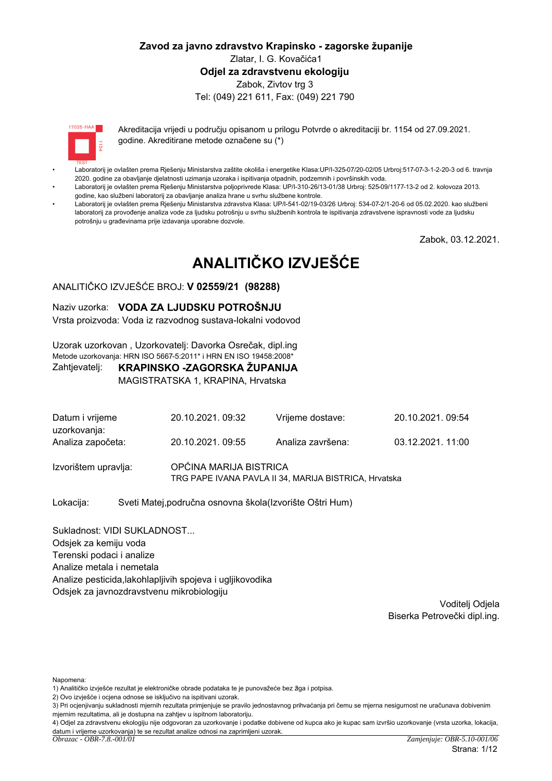#### Zavod za javno zdravstvo Krapinsko - zagorske županije Zlatar, I. G. Kovačića1 Odiel za zdravstvenu ekologiju Zabok, Zivtov trg 3 Tel: (049) 221 611, Fax: (049) 221 790

 $17095 \cdot HAA$ 

Akreditacija vrijedi u području opisanom u prilogu Potvrde o akreditaciji br. 1154 od 27.09.2021. godine. Akreditirane metode označene su (\*)

- Laboratorij je ovlašten prema Rješenju Ministarstva zaštite okoliša i energetike Klasa:UP/l-325-07/20-02/05 Urbroj:517-07-3-1-2-20-3 od 6. travnja 2020. godine za obavljanje djelatnosti uzimanja uzoraka i ispitivanja otpadnih, podzemnih i površinskih voda.
- Laboratorij je ovlašten prema Rješenju Ministarstva poljoprivrede Klasa: UP/I-310-26/13-01/38 Urbroj: 525-09/1177-13-2 od 2. kolovoza 2013. godine, kao službeni laboratorij za obavljanje analiza hrane u svrhu službene kontrole.
- Laboratorij je ovlašten prema Rješenju Ministarstva zdravstva Klasa: UP/I-541-02/19-03/26 Urbroj: 534-07-2/1-20-6 od 05.02.2020. kao službeni laboratorij za provođenje analiza vode za ljudsku potrošnju u svrhu službenih kontrola te ispitivanja zdravstvene ispravnosti vode za ljudsku potrošniu u građevinama prije izdavanja uporabne dozvole.

Zabok, 03.12.2021.

# ANALITIČKO IZVJEŠĆE

#### ANALITIČKO IZVJEŠĆE BROJ: V 02559/21 (98288)

#### Naziv uzorka: VODA ZA LJUDSKU POTROŠNJU

Vrsta proizvoda: Voda iz razvodnog sustava-lokalni vodovod

Uzorak uzorkovan, Uzorkovatelj: Davorka Osrečak, dipl.ing Metode uzorkovanja: HRN ISO 5667-5:2011\* i HRN EN ISO 19458:2008\*

#### KRAPINSKO -ZAGORSKA ŽUPANIJA Zahtjevatelj:

MAGISTRATSKA 1, KRAPINA, Hrvatska

| Datum i vrijeme<br>uzorkovanja:<br>Analiza započeta: | 20.10.2021, 09:32                                                               | Vrijeme dostave:  | 20.10.2021, 09:54 |  |  |
|------------------------------------------------------|---------------------------------------------------------------------------------|-------------------|-------------------|--|--|
|                                                      | 20.10.2021, 09:55                                                               | Analiza završena: | 03.12.2021.11:00  |  |  |
| Izvorištem upravlja:                                 | OPĆINA MARIJA BISTRICA<br>TRG PAPE IVANA PAVLA II 34, MARIJA BISTRICA, Hrvatska |                   |                   |  |  |

Lokacija: Sveti Matej, područna osnovna škola (Izvorište Oštri Hum)

Sukladnost: VIDI SUKLADNOST... Odsjek za kemiju voda Terenski podaci i analize Analize metala i nemetala Analize pesticida, lakohlapljivih spojeva i ugljikovodika Odsjek za javnozdravstvenu mikrobiologiju

> Voditelj Odjela Biserka Petrovečki dipl.ing.

Napomena:

2) Ovo izvješće i ocjena odnose se isključivo na ispitivani uzorak.

<sup>1)</sup> Analitičko izviešće rezultat je elektroničke obrade podataka te je punovažeće bez žiga i potpisa.

<sup>3)</sup> Pri ocjenjivanju sukladnosti mjernih rezultata primjenjuje se pravilo jednostavnog prihvaćanja pri čemu se mjerna nesigurnost ne uračunava dobivenim mjernim rezultatima, ali je dostupna na zahtjev u ispitnom laboratoriju.

<sup>4)</sup> Odjel za zdravstvenu ekologiju nije odgovoran za uzorkovanje i podatke dobivene od kupca ako je kupac sam izvršio uzorkovanje (vrsta uzorka, lokacija, datum i vrijeme uzorkovanja) te se rezultat analize odnosi na zaprimljeni uzorak.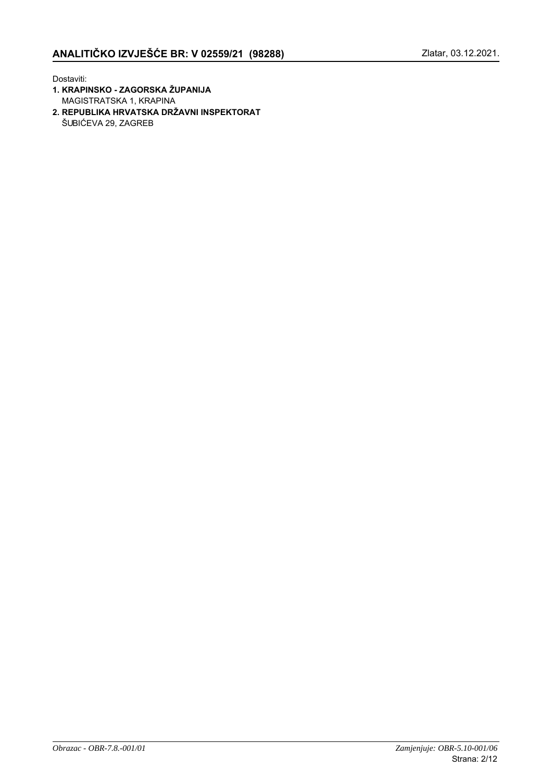Dostaviti:

- 1. KRAPINSKO ZAGORSKA ŽUPANIJA MAGISTRATSKA 1, KRAPINA
- 2. REPUBLIKA HRVATSKA DRŽAVNI INSPEKTORAT ŠUBIĆEVA 29, ZAGREB